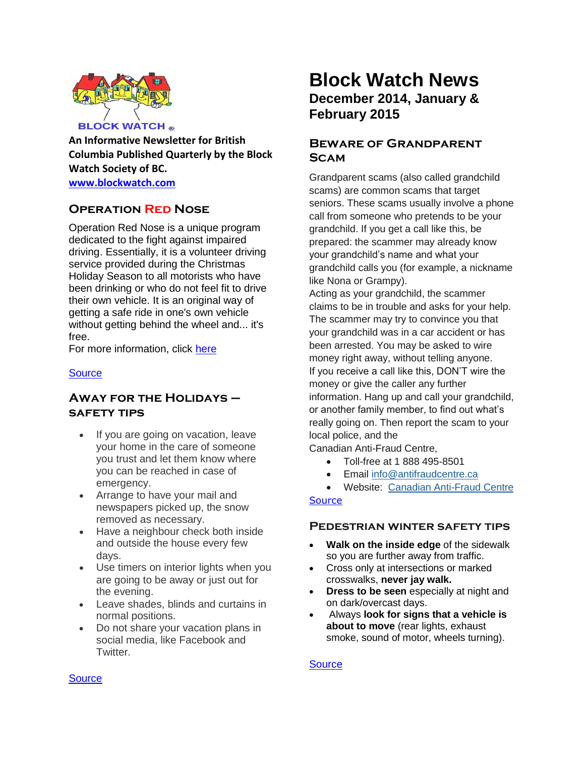

**An Informative Newsletter for British Columbia Published Quarterly by the Block Watch Society of BC. [www.blockwatch.com](http://www.blockwatch.com/)**

**Operation Red Nose**

Operation Red Nose is a unique program dedicated to the fight against impaired driving. Essentially, it is a volunteer driving service provided during the Christmas Holiday Season to all motorists who have been drinking or who do not feel fit to drive their own vehicle. It is an original way of getting a safe ride in one's own vehicle without getting behind the wheel and... it's free.

For more information, click [here](https://operationnezrouge.com/en/outils/geo)

#### **[Source](https://operationnezrouge.com/en/outils/geo)**

## **Away for the Holidays – safety tips**

- If you are going on vacation, leave your home in the care of someone you trust and let them know where you can be reached in case of emergency.
- Arrange to have your mail and newspapers picked up, the snow removed as necessary.
- Have a neighbour check both inside and outside the house every few days.
- Use timers on interior lights when you are going to be away or just out for the evening.
- Leave shades, blinds and curtains in normal positions.
- Do not share your vacation plans in social media, like Facebook and Twitter.

# **Block Watch News December 2014, January & February 2015**

# **Beware of Grandparent Scam**

Grandparent scams (also called grandchild scams) are common scams that target seniors. These scams usually involve a phone call from someone who pretends to be your grandchild. If you get a call like this, be prepared: the scammer may already know your grandchild's name and what your grandchild calls you (for example, a nickname like Nona or Grampy).

Acting as your grandchild, the scammer claims to be in trouble and asks for your help. The scammer may try to convince you that your grandchild was in a car accident or has been arrested. You may be asked to wire money right away, without telling anyone. If you receive a call like this, DON'T wire the money or give the caller any further information. Hang up and call your grandchild, or another family member, to find out what's really going on. Then report the scam to your local police, and the

Canadian Anti-Fraud Centre,

- Toll-free at 1 888 495-8501
- Email [info@antifraudcentre.ca](mailto:info@antifraudcentre.ca)

 Website: Canadian [Anti-Fraud](http://www.antifraudcentre-centreantifraude.ca/english/home.html) Centre **[Source](http://www2.gov.bc.ca/gov/topic.page?id=DA9B3F6D884846848785B909AB62244E&title=Grandparent%20Scams)** 

#### **Pedestrian winter safety tips**

- **Walk on the inside edge** of the sidewalk so you are further away from traffic.
- Cross only at intersections or marked crosswalks, **never jay walk.**
- **Dress to be seen** especially at night and on dark/overcast days.
- Always **look for signs that a vehicle is about to move** (rear lights, exhaust smoke, sound of motor, wheels turning).

**[Source](http://bc.cb.rcmp-grc.gc.ca/ViewPage.action?siteNodeId=87&languageId=1&contentId=32279)** 

#### **[Source](http://vancouver.ca/police/crime-prevention/for-homes-rental-properties/home-security.html)**